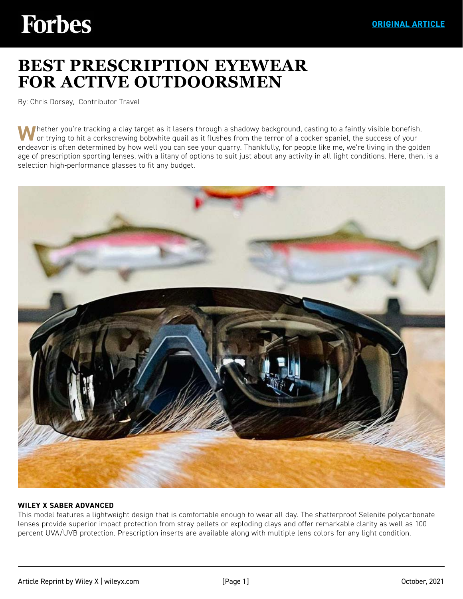# **Forbes**

## **[BEST PRESCRIPTION EYEWEAR](https://www.forbes.com/sites/chrisdorsey/2021/10/19/best-prescription-eyewear-for-active-outdoorsmen/?sh=2328ad36309e)  FOR ACTIVE OUTDOORSMEN**

By: Chris Dorsey, Contributor Travel

**W**hether you're tracking a clay target as it lasers through a shadowy background, casting to a faintly visible bonefish, or trying to hit a corkscrewing bobwhite quail as it flushes from the terror of a cocker spaniel, the success of your endeavor is often determined by how well you can see your quarry. Thankfully, for people like me, we're living in the golden age of prescription sporting lenses, with a litany of options to suit just about any activity in all light conditions. Here, then, is a selection high-performance glasses to fit any budget.



#### **WILEY X SABER ADVANCED**

This model features a lightweight design that is comfortable enough to wear all day. The shatterproof Selenite polycarbonate lenses provide superior impact protection from stray pellets or exploding clays and offer remarkable clarity as well as 100 percent UVA/UVB protection. Prescription inserts are available along with multiple lens colors for any light condition.